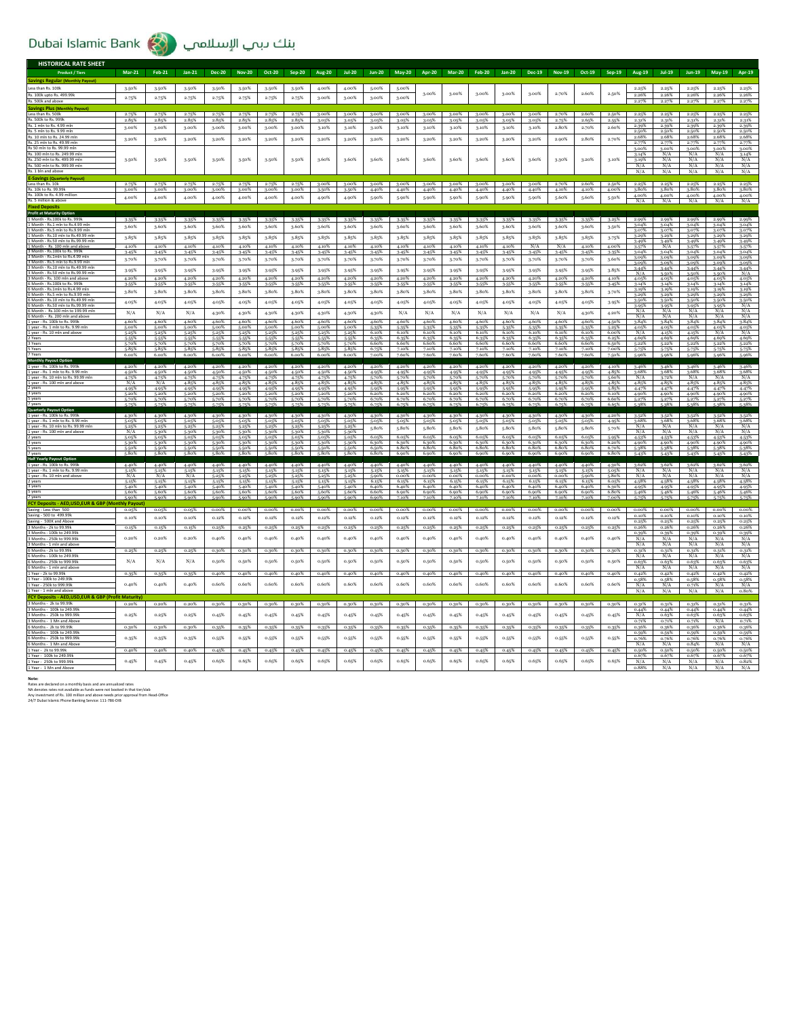## Dubai Islamic Bank (الله الإسلامي

| <b>HISTORICAL RATE SHEET</b>                                          |                                |                      |                |                      |                |                |                |                |                |                            |                   |                |                         |                      |                   |                   |                |                |                |                |                |                   |                |                      |
|-----------------------------------------------------------------------|--------------------------------|----------------------|----------------|----------------------|----------------|----------------|----------------|----------------|----------------|----------------------------|-------------------|----------------|-------------------------|----------------------|-------------------|-------------------|----------------|----------------|----------------|----------------|----------------|-------------------|----------------|----------------------|
| <b>Product / Tiers</b>                                                | <b>Mar-21</b>                  | <b>Feb-21</b>        | $Jan-21$       | <b>Dec-20</b>        | <b>Nov-20</b>  | Oct-20         | <b>Sep-20</b>  | <b>Aug-20</b>  | <b>Jul-20</b>  | <b>Jun-20</b>              | <b>May-20</b>     | Apr-20         | <b>Mar-20</b>           | <b>Feb-20</b>        | <b>Jan-20</b>     | <b>Dec-19</b>     | <b>Nov-19</b>  | Oct-19         | Sep-19         | Aug-19         | <b>Jul-19</b>  | Jun-19            | <b>May-19</b>  | Apr-19               |
| avings Regular (Monthly Payout)                                       |                                |                      |                |                      |                |                |                |                |                |                            |                   |                |                         |                      |                   |                   |                |                |                |                |                |                   |                |                      |
| ess than Rs. 100k                                                     | 3.50%                          | 3.50%                | 3.50%          | 3.50%                | 3.50%          | 3-50%          | 3.50%          | 4.00%          | 4.00%          | 5.00%                      | 5.00%             |                |                         |                      |                   |                   |                |                |                | 2.25%          | 2.25%          | 2.25%             | 2.25%          | 2.25%                |
| Rs. 100k upto Rs. 499.99k                                             |                                |                      |                |                      |                |                |                |                |                |                            |                   | 3.00%          | 3.00%                   | 3.00%                | 3.00%             | 3.00%             | 2.70%          | 2.60%          | 2.50%          | 2.26%          | 2.26%          | 2.26%             | 2.26%          | 2.26%                |
| s. 500k and above                                                     | 2.75%                          | 2.75%                | 2.75%          | 2.75%                | 2.75%          | 2.75%          | 2.75%          | 3.00%          | 3.00%          | 3.00%                      | 3.00%             |                |                         |                      |                   |                   |                |                |                | 2.27%          | 2.27%          | 2.27%             | 2.27%          | 2.27%                |
| avings Plus (M                                                        |                                |                      |                |                      |                |                |                |                |                |                            |                   |                |                         |                      |                   |                   |                |                |                |                |                |                   |                |                      |
| ess than Rs. 500k                                                     | 2.75%                          | 2.75%                | 2.75%          | 2.75%                | 2.75%          | 2.75%          | 2.75%          | 3.00%          | 3.00%          | 3.00%                      | 3.00%             | 3.00%          | $3.00\%$                | 3.00%                | 3.00%             | 2.00%             | 2.70%          | 260%           | 2.50%          | 2.25%          | 2.25%          | 2.25%             | 2.25%          | 2.25%                |
| s. 500k to Rs. 999k                                                   | 2.85%                          | 2.85%                | 2.85%          | 2.85%                | 2.85%          | 2.85%          | 2.85%          | 3.05%          | 3.05%          | 3.05%                      | 3.05%             | 3.05%          | 3.05%                   | 3.05%                | 3.05%             | 3.05%             | 2.75%          | 2.65%          | 2.55%          | 2.31%          | 2.31%          | 2.31%             | 2.31%          | 2.31%                |
| ls. 1 mln to Rs. 4.99 mln                                             | 3.00%                          | 3.00%                | 3.00%          | 3.00%                | 3.00%          | 3.00%          | 3.00%          | 3.10%          | 3.10%          | 3.10%                      | 3.10%             | 3.10%          | 3.10%                   | 3.10%                | 3.10%             | 3.10%             | 2.80%          | 2.70%          | 2.60%          | 2.39%          | 2.39%          | 2.39%             | 2.39%          | 2.39%                |
| s. 5 mln to Rs. 9.99 mln<br>s. 10 mln to Rs. 24.99 mln                |                                |                      |                |                      |                |                |                |                |                |                            |                   |                |                         |                      |                   |                   |                |                |                | 2.50%          | 2.50%          | 2.50%             | 2.50%          | 2.50%                |
| 3s. 25 mln to Rs. 49.99 mln                                           | 3.20%                          | 3.20%                | 3.20%          | 3.20%                | 3.20%          | 3.20%          | 3.20%          | 3.20%          | 3.20%          | 3.20%                      | 3.20%             | 3.20%          | 3.20%                   | 3.20%                | 3.20%             | 3.20%             | 2.90%          | 2.80%          | 2.70%          | 2.68%<br>2.77% | 2.68%<br>2.77% | 2.68%<br>2.77%    | 2.68%<br>2.77% | 2.68%<br>2.77%       |
| ts 50 mln to Rs, 99.99 mln                                            |                                |                      |                |                      |                |                |                |                |                |                            |                   |                |                         |                      |                   |                   |                |                |                | 3.00%          | 3.00%          | 3.00%             | 3.00%          | 3.00%                |
| የs. 100 mln to Rs. 249.99 mln                                         |                                |                      |                |                      |                |                |                |                |                |                            |                   |                |                         |                      |                   |                   |                |                |                | 3.14%          | N/A            | N/A               | N/A            | 3.14%                |
| s. 250 mln to Rs. 499.99 mln                                          | 3.50%                          | 3.50%                | 3.50%          | 3.50%                | 3.50%          | 3-50%          | 3.50%          | 3.60%          | 3.60%          | 3.60%                      | 3.60%             | 3.60%          | 3.60%                   | 3.60%                | 3.60%             | 3.60%             | 3.30%          | 3.20%          | 3.10%          | 3.19%          | N/A            | N/A               | N/A            | N/A                  |
| 500 mln to Rs. 999.99 mln                                             |                                |                      |                |                      |                |                |                |                |                |                            |                   |                |                         |                      |                   |                   |                |                |                | N/A            | N/A            | N/A               | N/A            | N/A                  |
| ts. 1 bln and abov                                                    |                                |                      |                |                      |                |                |                |                |                |                            |                   |                |                         |                      |                   |                   |                |                |                | N/A            | N/A            | N/A               | N/A            | N/A                  |
| -Savings (Quarterly Payout)                                           |                                |                      |                |                      |                |                |                |                |                |                            |                   |                |                         |                      |                   |                   |                |                |                |                |                |                   |                |                      |
| ess than Rs. 10k<br>s. 10k to Rs. 99.99k                              | 2.75%<br>3.00%                 | 2.75%                | 2.75%<br>3.00% | 2.75%<br>3.00%       | 2.75%<br>3.00% | 2.75%<br>3.00% | 2.75%<br>3.00% | 3.00%<br>3.50% | 3.00%<br>3.50% | $3.00\%$<br>4.40%          | $3.00\%$<br>4.40% | 3.00%<br>4.40% | 4.40%                   | 3.00% 3.00%<br>4.40% | 3.00%<br>4.40%    | 3.00%<br>4.40%    | 2.70%<br>4.10% | 2.60%<br>4.10% | 2.50%<br>4.00% | 2.25%<br>3.80% | 2.25%<br>3.80% | 2.25%<br>3.80%    | 2.25%<br>3.80% | 2.25%<br>3.80%       |
| 3s. 100k to Rs. 4.99 million                                          |                                |                      |                |                      |                |                |                |                |                |                            |                   |                |                         |                      |                   |                   |                |                |                | 4.00%          | 4.00%          | 4.00%             | 4.00%          | 4.00%                |
| ts. 5 million & above                                                 | 4.00%                          | 4.00%                | 4.00%          | 4.00%                | 4.00%          | 4.00%          | 4.00%          | 4.90%          | 4.90%          | 5.90%                      | 5.90%             | 5.90%          | 5.90%                   | 5.90%                | 5.90%             | 5.90%             | 5.60%          | 5.60%          | 5.50%          | N/A            | N/A            | N/A               | N/A            | N/A                  |
| xed Deposit                                                           |                                |                      |                |                      |                |                |                |                |                |                            |                   |                |                         |                      |                   |                   |                |                |                |                |                |                   |                |                      |
| rofit at Maturity Option                                              |                                |                      |                |                      |                |                |                |                |                |                            |                   |                |                         |                      |                   |                   |                |                |                |                |                |                   |                |                      |
| I Month - Rs.100k to Rs. 999k                                         | 3-35%                          | 3.35%                | 3.35%          | 3.35%                | 3.35%          | 3.35%          | 3-35%          | 3-35%          | 3.35%          | 3-35%                      | 3.35%             | 3.35%          | 3.35%                   | 3-35%                | 3.35%             | 3.35%             | 3-35%          | 3.35%          | 3.25%          | 2.99%          | 2.99%          | 2.99%             | 2.99%          | 2.99%                |
| Month - Rs.1 mln to Rs.4.99 mln<br>Month - Rs.5 mln to Rs.9.99 mln    | 3.60%                          | 3.60%                | 3.60%          | 3.60%                | 3.60%          | 3.60%          | 3.60%          | 3.60%          | 3.60%          | 3.60%                      | 3.60%             | 3.60%          | 3.60%                   | 3.60%                | 3.60%             | 3.60%             | 3.60%          | 3.60%          | 3.50%          | 3.04%<br>3.07% | 3.04%<br>3.07% | 3.04%<br>3.07%    | 3.04%<br>3.07% | 3.04%<br>3.07%       |
| Month - Rs.10 mln to Rs.49.99 mln                                     | 3.85%                          | 3.85%                | 3.85%          | 3.85%                | 3.85%          | 3-85%          | 3.85%          | 3.85%          | 3.85%          | 3-85%                      | 3.85%             | 3.85%          | 3.85%                   | 3-85%                | 3.85%             | 3.85%             | 3.85%          | 3.85%          | 3-75%          | 3.29%          | 3.29%          | 3.29%             | 3.29%          | 3.29%                |
| Month - Rs.50 mln to Rs.99.99 mln                                     |                                |                      |                |                      |                |                |                |                |                |                            |                   |                |                         |                      |                   |                   |                |                |                | 3.49%          | 3-49%          | 3.49%             | 3.49%          | 3.49%                |
| Month - Rs 100 mln and abow<br>Month - Rs.100k to Rs. 999k            | 4.10%                          | 4.10%                | 4.10%          | 4.10%                | 4.10%          | 4.10%          | 4.10%          | 4.10%          | 4.10%          | 4.10%                      | 4.10%             | 4.10%          | 4.10%                   | 4.10%                | 4.10%             | N/A               | N/A            | 4.10%          | 4.00%          | 3.57%          | N/A            | 3.57%             | 3.57%          | 3.57%                |
| Month - Rs 1mln to Rs 4 99 mln                                        | 3.45%                          | 3.45%                | 3.45%          | 3.45%                | 3.45%          | 3.45%          | 3-45%          | 3.45%          | 3.45%          | 3.45%                      | 3.45%             | 3.45%          | 3.45%                   | 3.45%                | 3.45%             | 3.45%             | 3.45%          | 3.45%          | $3 - 35%$      | 3.04%<br>3.09% | 3.04%<br>3.09% | 3.04%<br>3.09%    | 3.04%<br>3.09% | 3.04%<br>3.09%       |
| Month - Rs.5 mln to Rs.9.99 mln                                       | 3.70%                          | 3.70%                | 3.70%          | 3.70%                | 3.70%          | 3.70%          | 3.70%          | 3.70%          | 3.70%          | 3.70%                      | 3.70%             | 3.70%          | 3.70%                   | 3-70%                | 3.70%             | 3.70%             | 3.70%          | 3.70%          | 3.60%          | 3.09%          | 3.09%          | 3.09%             | 3.09%          | 3.09%                |
| Month - Rs.10 mln to Rs.49.99 mln                                     | 3.95%                          | 3.95%                | 3.95%          | 3.95%                | 3.95%          | 3.95%          | 3.95%          | 3.95%          | 3.95%          | 3.95%                      | 3.95%             | 3.95%          | 3.95%                   | 3.95%                | 3.95%             | 3.95%             | 3.95%          | 3.95%          | 3.85%          | 3.44%          | 3-44%          | 3.44%             | 3.44%          | 3.44%                |
| Month - Rs.50 mln to Rs.99.99 mln                                     |                                |                      |                |                      |                |                |                |                |                |                            |                   |                |                         |                      |                   |                   |                |                |                | N/A            | 3-50%          | 3.50%             | 3.50%          | N/A                  |
| Month - Rs. 100 mln and above<br>Month - Rs.100k to Rs. 999k          | 4.20%<br>3-55%                 | 4.20%<br>3.55%       | 4.20%<br>3.55% | 4.20%<br>3-55%       | 4.20%<br>3.55% | 4.20%<br>3.55% | 4.20%<br>3.55% | 4.20%<br>3-55% | 4.20%<br>3.55% | 4.20%<br>3.55%             | 4.20%<br>3.55%    | 4.20%<br>3-55% | 4.20%<br>3-55%          | 4.20%<br>3.55%       | 4.20%<br>3.55%    | 4.20%<br>$3.55\%$ | 4.20%<br>3.55% | 4.20%<br>3.55% | 4.10%<br>3.45% | 4.05%<br>3.14% | 4.05%<br>3.14% | 4.05%<br>3.14%    | 4.05%<br>3.14% | 4.05%<br>3.14%       |
| Month - Rs.1mln to Rs.4.99 mln                                        |                                |                      |                |                      |                |                | 3.80%          |                | 3.80%          | 3.80%                      |                   |                |                         |                      |                   |                   |                |                |                | 3.19%          | 3.19%          | 3.19%             | 3.19%          | 3.19%                |
| Month - Rs.5 mln to Rs.9.99 mln                                       | 3.80%                          | 3.80%                | 3.80%          | 3.80%                | 3.80%          | 3.80%          |                | 3.80%          |                |                            | 3.80%             | 3.80%          | 3.80%                   | 3.80%                | 3.80%             | 3.80%             | 3.80%          | 3.80%          | 3.70%          | 3.29%          | 3.29%          | 3.29%             | 3.29%          | 3.29%                |
| Month - Rs.10 mln to Rs.49.99 ml                                      | 4.05%                          | 4.05%                | 4.05%          | 4.05%                | 4.05%          | 4.05%          | 4.05%          | 4.05%          | 4.05%          | 4.05%                      | 4.05%             | 4.05%          | 4.05%                   | 4.05%                | 4.05%             | 4.05%             | 4.05%          | 4.05%          | 3-95%          | 3.50%          | 3.50%          | 3.50%             | 3.50%          | $\frac{3.50\%}{N/A}$ |
| Month - Rs.50 mln to Rs.99.99 mln<br>Month - Rs.100 mln to 199.99 mln |                                |                      |                |                      |                |                |                |                |                |                            |                   |                |                         |                      |                   |                   |                |                |                | N/A            | 3.95%<br>N/A   | 3.95%<br>N/A      | 3.95%<br>N/A   | N/A                  |
| Month - Rs. 200 mln and above                                         | N/A                            | N/A                  | N/A            | 4.30%                | 4.30%          | 4.30%          | 4.30%          | 4.30%          | 4.30%          | 4.30%                      | N/A               | N/A            | N/A                     | N/A                  | N/A               | N/A               | N/A            | 4.30%          | 4.20%          | N/A            | N/A            | N/A               | N/A            | N/A                  |
| year - Rs. 100k to Rs. 999k                                           | 4.60%                          | 4.60%                | 4.60%          | 4.60%                | 4.60%          | 4.60%          | 4.60%          | 4.60%          | 4.60%          | 4.60%                      | 4.60%             | 4.60%          | 4.60%                   | 4.60%                | 4.60%             | 4.60%             | 4.60%          | 4.60%          | 4.50%          | 3.84%          | 3.84%          | 3.84%             | 3.84%          | 3.84%                |
| year - Rs. 1 mln to Rs. 9.99 mln                                      | 5.00%                          | 5.00%                | 5.00%          | 5.00%                | 5.00%          | 5.00%          | 5.00%          | 5.00%          | 5.00%          | 5-35%                      | 5-35%             | 5.35%          | 5-35%                   | 5-35%                | 5-35%             | 5-35%             | 5-35%          | 5-35%          | 5.25%          | 4.05%          | 4.05%          | 4.05%             | 4.05%          | $\frac{4.05\%}{N/A}$ |
| year - Rs. 10<br>Years                                                | 5.25%                          | 5.25%                | 5.25%          | 5.25%                | 5.25%          | 5.25%          | 5.25%          | 5.25%          | 5.25%          | 6.10%                      | 6.10%             | 6.10%          | 6.10%                   | 6.10%                | 6.10%             | 6.10%             | 6.10%          | 6.10%          | 6.00%          | N/A            | 4.15%          | 4.15%             | N/A            |                      |
| Years                                                                 | 5-55%<br>5.70%                 | 5-55%<br>5.70%       | 5.55%<br>5.70% | 5-55%<br>5.70%       | 5.55%<br>5.70% | 5.55%<br>5.70% | 5.55%<br>5.70% | 5.55%<br>5.70% | 5.55%<br>5.70% | 6.35%<br>6.60%             | 6.35%<br>6.60%    | 6.35%<br>6.60% | 6.35%<br>6.60%          | 6.35%<br>6.60%       | 6.35%<br>6.60%    | 6.35%<br>6.60%    | 6.35%<br>6.60% | 6.35%<br>6.60% | 6.25%<br>6.50% | 4.69%<br>5.22% | 4.69%<br>5.22% | 4.69%<br>5.22%    | 4.69%<br>5.22% | 4.69%<br>5.22%       |
| Years                                                                 | 5.85%                          | 5.85%                | 5.85%          | 5.85%                | 5.85%          | 5.85%          | 5.85%          | 5.85%          | 5.85%          | 6.75%                      | 7.10%             | 7.10%          | 7.10%                   | 7.10%                | 7.10%             | 7.10%             | 7.10%          | 7.10%          | 7.00%          | 5.75%          | 5.75%          | 5.75%             | 5-75%          | 5.75%                |
| Vesro                                                                 | 6.00%                          | 6.00%                | 6.00%          | 6.00%                | 6.00%          | 6.00%          | 6.00%          | 6.00%          | 6.00%          | 7.00%                      | 7.60%             | 7.60%          | 7.60%                   | 7.60%                | 7.60%             | 7.60%             | 7.60%          | 7.60%          | 7.50%          | 5.96%          | 5.96%          | 5.96%             | 5.96%          | 5.96%                |
| Monthly Pay                                                           |                                |                      |                |                      |                |                |                |                |                |                            |                   |                |                         |                      |                   |                   |                |                |                |                |                |                   |                |                      |
| year - Rs. 100k to Rs. 999k<br>vear - Rs. 1 mln to Rs. 9.99 mln       | 4.20%<br>4.50%                 | 4.20%<br>4.50%       | 4.20%<br>4.50% | 4.20%<br>4.50%       | 4.20%<br>4.50% | 4.20%<br>4.50% | 4.20%<br>4.50% | 4.20%<br>4.50% | 4.20%<br>4.50% | 4.20%<br>4.95%             | 4.20%<br>4.95%    | 4.20%<br>4.95% | 4.20%<br>4.95%          | 4.20%<br>4.95%       | 4.20%<br>4.95%    | 4.20%<br>4.95%    | 4.20%<br>4.95% | 4.20%<br>4.95% | 4.10%<br>4.85% | 3.46%<br>3.68% | 3.46%<br>3.68% | 3.46%<br>3.68%    | 3.46%<br>3.68% | 3.46%<br>3.68%       |
| year - Rs. 10 mln to Rs. 99.99 mln                                    |                                |                      | 4.75%          | 4.75%                | 4.75%          | 4.75%          | 4.75%          | 4.75%          | 4.75%          | 5.70%                      | 5.70%             | 5.70%          | 5.70%                   | 5.70%                | 5.70%             | 5-70%             | 5.70%          | 5.70%          | 5.60%          | N/A            | 3.72%          | N/A               | N/A            | N/A                  |
| year - Rs. 100 mln and above                                          | $\frac{4.75\%}{N/A}$           | $\frac{4.75\%}{N/A}$ | 4.85%          | 4.85%                | 4.85%          | 4.85%          | 4.85%          | 4.85%          | 4.85%          | 4.85%                      | 4.85%             | 4.85%          | 4.85%                   | 4.85%                | 4.85%             | 4.85%             | 4.85%          | 4.85%          | 4.85%          | 4.85%          | 4.85%          | 4.85%             | 4.85%          | 4.85%                |
| years                                                                 | 4.95%                          | 4.95%                | 4.95%          | 4.95%                | 4.95%          | 4.95%          | 4.95%          | 4.95%          | 4.95%          | 5-95%                      | 5.95%             | 5.95%          | 5.95%                   | 5-95%                | 5.95%             | 5.95%             | 5.95%          | 5-95%          | 5.85%          | 4.47%          | 4.47%          | 4.47%             | 4.47%          | 4.47%                |
| years                                                                 | 5.20%<br>5.70%                 | 5.20%                | 5.20%<br>5.70% | 5.20%<br>5.70%       | 5.20%<br>5.70% | 5.20%<br>5.70% | 5.20%<br>5.70% | 5.20%<br>5.70% | 5.20%          | 6.20%<br>6.70%             | 6.20%<br>6.70%    | 6.20%<br>6.70% | 6.20%<br>6.70%          | 6.20%<br>6.70%       | 6.20%<br>6.70%    | 6.20%<br>6.70%    | 6.20%<br>6.70% | 6.20%<br>6.70% | 6.10%<br>6.60% | 4.90%          | 4.90%          | 4.90%             | 4.90%          | 4.90%                |
| years                                                                 | 5.75%                          | 5.70%                |                |                      |                |                |                |                | 5-70%          |                            |                   |                |                         |                      |                   |                   |                |                |                | 5.27%          | 5.27%          | 5.27%             | 5.27%          | 5.27%                |
| Quarterly Payout Option                                               |                                |                      |                |                      |                |                |                |                |                |                            |                   |                |                         |                      |                   |                   |                |                |                |                |                |                   |                |                      |
| year - Rs. 100k to Rs. 999                                            | 4.30%                          | 4.30%                | 4.309          | 4.30%                | 4.30%          | 4.30%          | 4.30%          | 4.30%          | 4.30%          | 4.30%                      | 4.30%             | 4.30%          | 4.30%                   | 4.30%                | 4.30%             | 4.30%             | 4.30%          | 4.30%          | 4.20%          | 3.52%          | 3.52%          | 3.52%             | 3-52%          | 3.52%                |
| vear - Rs. 1 mln to Rs. 9.99 mln                                      | 5.05%                          | 5.05%                | 5.05%          | 5.05%                | 5.05%          | 5.05%          | 5.05%          | 5.05%          | 5.05%          | 5.05%                      | 5.05%             | 5.05%          | 5.05%                   | 5.05%                | 5.05%             | 5.05%             | 5.05%          | 5.05%          | 4.95%          | 3.68%          | 3.68%          | 3.68%             | 3.68%          | $\frac{3.68\%}{N/A}$ |
| year - Rs. 10 mln to Rs. 99.99 mlr<br>year - Rs. 100 mln and above    | 5.25%<br>$\overline{\text{N}}$ | 5.25%<br>5.30%       | 5.25%<br>5-309 | 5.25%<br>5.30%       | 5.25%<br>5-30% | 5-25%          | 5.25%<br>5.30% | 5.25%<br>5.30% | 5.25%<br>5-30% | 5.80%                      | 5.80%             | 5.80%          | 5.80%                   | 5.80%                | 5.80%             | 5.80%             | 5.80%          | 5.80%          | 5.70%          | N/A<br>N/A     | N/A<br>N/A     | N/A<br>N/A        | N/A<br>N/A     |                      |
| vears                                                                 | 5.05%                          | 5.05%                | 5.05%          | 5.05%                | 5.05%          | $5.05\%$       | 5.05%          | 5.05%          | 5.05%          | 6.05%                      | 6.05%             | 6.05%          | 6.05%                   | 6.05%                | 6.05%             | 6.05%             | 6.05%          | 6.05%          | 5.95%          | 4.53%          | 4.53%          | 4.53%             | 4.52%          | 4.53%                |
| years                                                                 | 5.30%                          | 5.30%                | 5-30%          | 5.30%                | 5-30%          | 5.30%          | 5.30%          | 5.30%          | 5-30%          | 6.30%                      | 6.30%             | 6.30%          | 6.30%                   | 6.30%                | 6.30%             | 6.30%             | 6.30%          | 6.30%          | 6.20%          | 4.90%          | 4.90%          | 4.90%             | 4.90%          | 4.90%                |
| years                                                                 | 5.50%<br>5.80%                 | 5.50%<br>5.80%       | 5-50%<br>5.80% | 5.50%<br>5.80%       | 5-50%<br>5.80% | 5.50%<br>5.80% | 5.50%<br>5.80% | 5.50%<br>5.80% | 5-50%<br>5.80% | 6.50%<br>6.80%             | 6.80%<br>6 go%    | 6.80%<br>6.90% | 6.80%<br>6 go%          | 6.80%<br>6,90%       | 6.80%<br>6.90%    | 6.80%<br>6 go%    | 6.80%<br>6.90% | 6.80%<br>6 on% | 6.70%<br>6.80% | 5-38%<br>5.43% | 5.38%<br>5.43% | 5.38%<br>5.43%    | 5.38%<br>5.43% | 5-38%                |
| Half Yearly Payout Option                                             |                                |                      |                |                      |                |                |                |                |                |                            |                   |                |                         |                      |                   |                   |                |                |                |                |                |                   |                | 5.43%                |
| year - Rs. 100k to Rs.                                                | 4.40%                          | 4.40%                | 4.40%          | 4.40%                | 4.40%          | 4.40%          | 4.40%          | 4.40%          | 4.40%          | 4.40%                      | 4.40%             | 4.40%          | 4.40%                   | 4.40%                | 4.40%             | 4.40%             | 4.40%          | 4.40%          | 4.30%          | 3.62%          | 3.62%          | 3.62%             | 3.62%          | 3.62%                |
| year - Rs. 1 mln to Rs. 9.99 mln                                      |                                |                      |                |                      | 5.15%          |                | 5.15%          | 5.15%          | 5.15%          | 5.15%                      |                   |                | 5.15%                   | 5.15%                |                   | 5.15%             |                |                | 5.05%          |                |                | N/A               |                | $\frac{N/A}{N/A}$    |
| year - Rs. 10 mln and above                                           | N/A                            | N/A                  | N/A            | 5.25%                | 5.25%          | 5-25%          | 5.25%          | 5.25%          | 5.25%          | 5.90%                      | $0.00\%$          | $0.00\%$       | $0.00\%$ 0.00%<br>6.15% | 6.15%                | $0.00\%$<br>6.15% | $0.00\%$ $0.00\%$ | 6.15%          | 5.90%          | 5.80%          | N/A            | N/A            | N/A               | N/A            |                      |
| years<br>years                                                        | 5.15%<br>5.40%                 | 5.15%<br>5.40%       | 5.15%<br>5.40% | 5.15%<br>5.40% 5.40% | 5.15%          | 5.15%<br>5.40% | 5.15%<br>5.40% | 5.15%<br>5.40% | 5.15%<br>5.40% | 6.15%<br>$6.40\%$ $6.40\%$ | 6.15%             | 6.15%<br>6.40% | 6.40%                   | 6.40%                | 6.40%             | 6.15%<br>6.40%    | 6.40%          | 6.15%<br>6.40% | 6.05%<br>6.30% | 4.58%<br>4.95% | 4.58%<br>4.95% | 4.58%<br>4.95%    | 4.58%<br>4.95% | 4.58%<br>4.95%       |
| years                                                                 | 5.60%                          | 5.60%                | 5.60%          | 5.60%                | 5.60%          | 5.60%          | 5.60%          | 5.60%          | 5.60%          | $6.60\%$                   | 6.90%             | 6.90%          | 6.90%                   | 6,90%                | 6,90%             | 6,90%             | 6.90%          | 6.90%          | 6.80%          | 5.46%          | 5.46%          | 5.46%             | 5.46%          | 5.46%                |
|                                                                       |                                |                      | 5.90           |                      |                |                |                |                |                |                            |                   |                |                         |                      |                   |                   |                |                |                |                |                |                   |                |                      |
| CY Deposits - AED, USD, EUR & GBP                                     | ily Payo                       |                      |                |                      |                |                |                |                |                |                            |                   |                |                         |                      |                   |                   |                |                |                |                |                |                   |                |                      |
| Saving - Less than 500                                                | 0.05%                          | 0.05%                | 0.05%          | 0.00%                | $0.00\%$       | $0.00\%$       | 0.00%          | 0.00%          | 0.00%          | $0.00\%$                   | $0.00\%$          | $0.00\%$       | $0.00\%$                | $0.00\%$             | 0.00%             | $0.00\%$          | 0.00%          | 0.00%          | $0.00\%$       | 0.00%          | $0.00\%$       | 0.00%             | 0.00%          | 0.00%                |
| aving - 500 to 499.99k<br>wing - 500K and Abo                         | 0.10%                          | 0.10%                | 0.10%          | 0.12%                | 0.12%          | 0.12%          | 0.12%          | 0.12%          | 0.12%          | 0.12%                      | 0.12%             | 0.12%          | 0.12%                   | 0.12%                | 0.12%             | 0.12%             | 0.12%          | 0.12%          | 0.12%          | 0.10%<br>0.25% | 0.10%<br>0.25% | $0.10\%$<br>0.25% | 0.10%<br>0.25% | 0.10%<br>0.25%       |
| Months - 2k to 99 99k                                                 | 0.15%                          | 0.15%                | 0.15%          | 0.25%                | 0.25%          | 0.25%          | 0.25%          | 0.25%          | 0.25%          | 0.25%                      | 0.25%             | 0.25%          | 0.25%                   | 0.25%                | 0.25%             | 0.25%             | 0.25%          | 0.25%          | 0.25%          | 0.26%          | 0.26%          | 0.26%             | 0.26%          | 0.26%                |
| Months - 100k to 249.99k                                              |                                |                      |                |                      |                |                |                |                |                |                            |                   |                |                         |                      |                   |                   |                |                |                | 0.39%          | 0.39%          | 0.39%             | 0.39%          | 0.39%                |
| Months - 250k to 999.99k                                              | 0.20%                          | 0.20%                | 0.20%          | 0.40%                | $0.40\%$       | $0.40\%$       | 0.40%          | 0.40%          | 0.40%          | 0.40%                      | 0.40%             | 0.40%          | 0.40%                   | 0.40%                | 0.40%             | 0.40%             | 0.40%          | 0.40%          | 0.40%          | N/A            | N/A            | N/A               | N/A            | N/A                  |
| 3 Months - 1 mln and above                                            |                                |                      |                |                      |                |                |                |                |                |                            |                   |                |                         |                      |                   |                   |                |                |                | N/A            | N/A            | N/A               | N/A            | N/A                  |
| Months - 2k to 99.99                                                  | 0.25%                          | 0.25%                | 0.25%          | 0.30%                | 0.30%          | 0.30%          | 0.30%          | 0.30%          | 0.30%          | 0.30%                      | 0.30%             | 0.30%          | 0.30%                   | 0.30%                | 0.30%             | 0.30%             | 0.30%          | 0.30%          | 0.30%          | 0.31%          | 0.31%          | 0.31%             | 0.31%          | 0.31%                |
| Months - 100k to 249.99<br>Months - 250k to 999.99k                   | N/A                            | N/A                  | N/A            | 0.50%                | 0.50%          | 0.50%          | 0.50%          | 0.50%          | 0.50%          | 0.50%                      | 0.50%             | 0.50%          | 0.50%                   | 0.50%                | 0.50%             | 0.50%             | 0.50%          | 0.50%          | 0.50%          | N/A<br>0.63%   | N/A<br>0.63%   | N/A<br>0.63%      | N/A<br>0.63%   | N/A<br>0.63%         |
| Months - 1 mln and aho                                                |                                |                      |                |                      |                |                |                |                |                |                            |                   |                |                         |                      |                   |                   |                |                |                | N/A            | N/A            | N/A               | N/A            | N/A                  |
| Year - 2k to 99.99k                                                   | 0.35%                          | 0.35%                | 0.35%          | 0.40%                | 0.40%          | 0.40%          | 0.40%          | 0.40%          | 0.40%          | 0.40%                      | 0.40%             | 0.40%          | 0.40%                   | 0.40%                | 0.40%             | 0.40%             | 0.40%          | 0.40%          | 0.40%          | 0.42%          | 0.42%          | 0.42%             | 0.42%          | 0.42%                |
| Year - 100k to 249.99k                                                |                                |                      |                |                      |                |                |                |                |                |                            |                   |                |                         |                      |                   |                   |                |                |                | 0.58%          | 0.58%          | 0.58%             | 0.58%          | 0.58%                |
| Year - 250k to 999.99k                                                | 0.40%                          | 0.40%                | 0.40%          | 0.60%                | 0.60%          | 0.60%          | 0.60%          | 0.60%          | 0.60%          | 0.60%                      | 0.60%             | 0.60%          | 0.60%                   | 0.60%                | 0.60%             | 0.60%             | 0.60%          | 0.60%          | 0.60%          | N/A            | N/A            | 0.71%             | N/A            | N/A                  |
| Year - 1 mln and ab                                                   |                                |                      |                |                      |                |                |                |                |                |                            |                   |                |                         |                      |                   |                   |                |                |                | N/A            | N/A            | N/A               | N/A            | 0.80%                |
| CY Deposits - AED, USD, EUR & GBP (Profit Maturity                    |                                |                      |                |                      |                |                |                |                |                |                            |                   |                |                         |                      |                   |                   |                |                |                |                |                |                   |                |                      |
| Months - 2k to 99.99k                                                 | 0.20%                          | 0.20%                | 0.20%          | $0.30\%$             | 0.30%          | 0.30%          | 0.30%          | 0.30%          | 0.30%          | 0.30%                      | 0.30%             | 0.30%          | 0.30%                   | 0.30%                | 0.30%             | 0.30%             | 0.30%          | 0.30%          | 0.30%          | 0.31%          | 0.31%          | 0.31%             | 0.31%          | 0.31%                |
| Months - 100k to 249.99                                               | 0.25%                          | 0.25%                | 0.25%          | 0.45%                | 0.45%          | 0.45%          | 0.45%          | 0.45%          | 0.45%          | 0.45%                      | 0.45%             | 0.45%          | 0.45%                   | 0.45%                | 0.45%             | 0.45%             | 0.45%          | 0.45%          | 0.45%          | 0.44%<br>N/A   | 0.44%          | 0.44%             | 0.44%          | 0.44%                |
| Months - 250k to 999.99k<br>Months - 1 Mn and Ahoy                    |                                |                      |                |                      |                |                |                |                |                |                            |                   |                |                         |                      |                   |                   |                |                |                | 0.71%          | 0.63%<br>0.71% | 0.63%<br>0.71%    | 0.63%<br>N/A   | 0.63%<br>0.71%       |
| 6 Months - 2k to 99.99k                                               | 0.30%                          | 0.30%                | 0.30%          | 0.35%                | 0.35%          | 0.35%          | 0.35%          | 0.35%          | 0.35%          | 0.35%                      | 0.35%             | 0.35%          | 0.35%                   | 0.35%                | 0.35%             | 0.35%             | 0.35%          | 0.35%          | 0.35%          | 0.36%          | 0.36%          | 0.36%             | 0.36%          | 0.36%                |
| Months - 100k to 249.99                                               |                                |                      |                |                      |                |                |                |                |                |                            |                   |                |                         |                      |                   |                   |                |                |                | 0.59%          | 0.59%          | 0.59%             | 0.59%          | 0.59%                |
| Months - 250k to 999.99k                                              | 0.35%                          | 0.35%                | 0.35%          | 0.55%                | 0.55%          | 0.55%          | 0.55%          | 0.55%          | 0.55%          | 0.55%                      | 0.55%             | 0.55%          | 0.55%                   | 0.55%                | 0.55%             | 0.55%             | 0.55%          | 0.55%          | 0.55%          | 0.76%          | 0.76%          | 0.76%             | 0.76%          | 0.76%                |
| Months - 1 Mn and Above                                               |                                |                      |                |                      |                |                |                |                |                |                            |                   |                |                         |                      |                   |                   |                |                |                | N/A            | N/A            | 0.84%             | N/A            | N/A                  |
| Year - 2k to 99.99                                                    | 0.40%                          | 0.40%                | 0.40%          | 0.45%                | 0.45%          | 0.45%          | 0.45%          | 0.45%          | 0.45%          | 0.45%                      | 0.45%             | 0.45%          | 0.45%                   | 0.45%                | 0.45%             | 0.45%             | 0.45%          | 0.45%          | 0.45%          | 0.50%<br>0.67% | 0.50%<br>0.67% | 0.50%<br>0.67%    | 0.50%<br>0.67% | 0.50%<br>0.67%       |
| Year - 100k to 249.99k<br>Year - 250k to 999.99k                      | 0.45%                          | 0.45%                | 0.45%          | 0.65%                | 0.65%          | 0.65%          | 0.65%          | 0.65%          | 0.65%          | 0.65%                      | 0.65%             | 0.65%          | 0.65%                   | 0.65%                | 0.65%             | 0.65%             | 0.65%          | 0.65%          | 0.65%          | N/A            | N/A            | N/A               | N/A            | 0.82%                |
| I Year - 1 Mn and Above                                               |                                |                      |                |                      |                |                |                |                |                |                            |                   |                |                         |                      |                   |                   |                |                |                | 0.88%          | N/A            | N/A               | N/A            | N/A                  |

**Note:**

Rates are declared on a monthly basis and are annualized rates<br>NA denotes rates not available as funds were not booked in that tier/slab<br>Any investment of Rs . 100 million and above needs prior approval from Head-Office<br>24